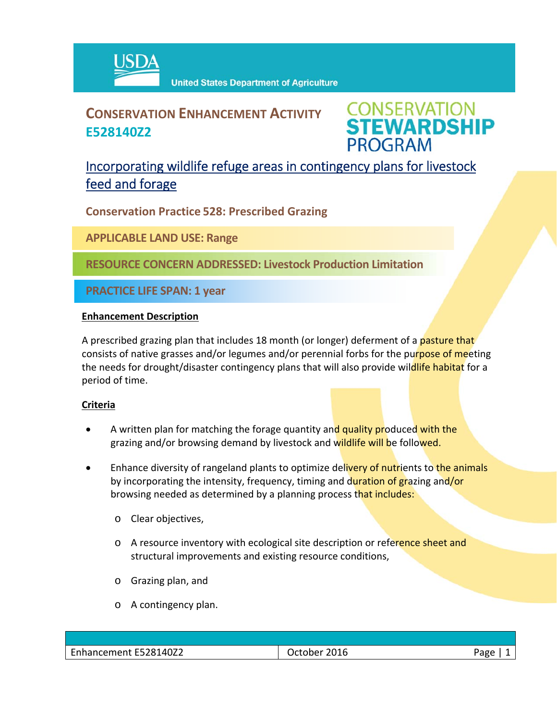

# **CONSERVATION ENHANCEMENT ACTIVITY E528140Z2**

**CONSERVATION<br>STEWARDSHIP PROGRAM** 

## Incorporating wildlife refuge areas in contingency plans for livestock feed and forage

**Conservation Practice 528: Prescribed Grazing**

**APPLICABLE LAND USE: Range**

**RESOURCE CONCERN ADDRESSED: Livestock Production Limitation**

**PRACTICE LIFE SPAN: 1 year**

#### **Enhancement Description**

A prescribed grazing plan that includes 18 month (or longer) deferment of a pasture that consists of native grasses and/or legumes and/or perennial forbs for the purpose of meeting the needs for drought/disaster contingency plans that will also provide wildlife habitat for a period of time.

### **Criteria**

- A written plan for matching the forage quantity and quality produced with the grazing and/or browsing demand by livestock and wildlife will be followed.
- **Enhance diversity of rangeland plants to optimize delivery of nutrients to the animals** by incorporating the intensity, frequency, timing and duration of grazing and/or browsing needed as determined by a planning process that includes:
	- o Clear objectives,
	- o A resource inventory with ecological site description or reference sheet and structural improvements and existing resource conditions,
	- o Grazing plan, and
	- o A contingency plan.

| E528140Z2<br>-<br>enem | _____ | - - - - - |
|------------------------|-------|-----------|
|                        |       |           |